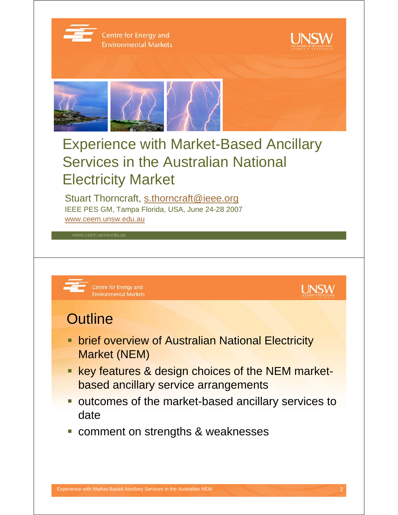

Centre for Energy and **Environmental Markets** 





# Experience with Market-Based Ancillary Services in the Australian National Electricity Market

Stuart Thorncraft, s.thorncraft@ieee.org IEEE PES GM, Tampa Florida, USA, June 24-28 2007 www.ceem.unsw.edu.au

Centre for Energy and **Environmental Markets** 



#### **Outline**

- **Example 2 brief overview of Australian National Electricity** Market (NEM)
- **key features & design choices of the NEM market**based ancillary service arrangements
- **outcomes of the market-based ancillary services to** date
- **Comment on strengths & weaknesses**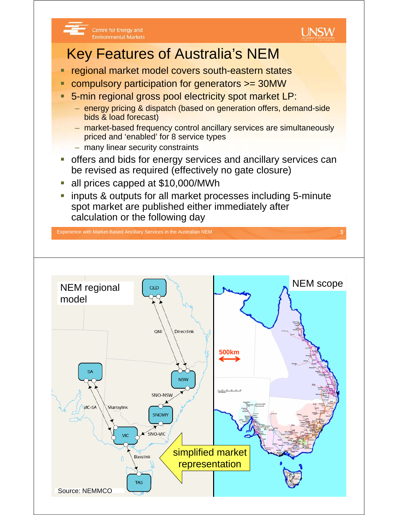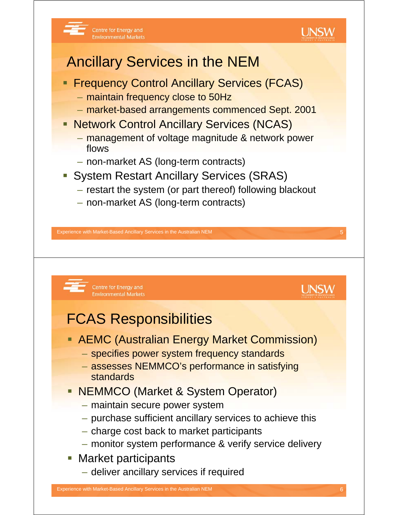

## Ancillary Services in the NEM

- **Firequency Control Ancillary Services (FCAS)** 
	- maintain frequency close to 50Hz

Centre for Energy and

**Environmental Markets** 

- market-based arrangements commenced Sept. 2001
- **Network Control Ancillary Services (NCAS)** 
	- management of voltage magnitude & network power flows
	- non-market AS (long-term contracts)
- System Restart Ancillary Services (SRAS)
	- restart the system (or part thereof) following blackout
	- non-market AS (long-term contracts)

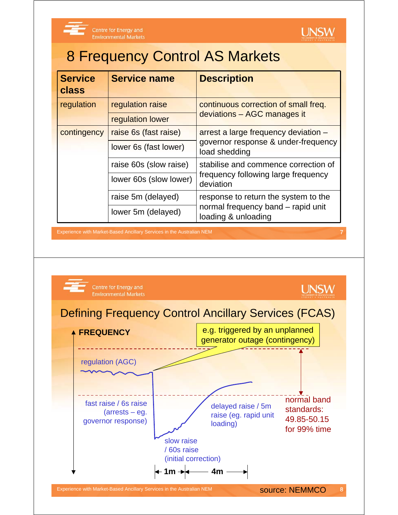

Centre for Energy and **Environmental Markets** 



### 8 Frequency Control AS Markets

| <b>Service</b><br>class | <b>Service name</b>    | <b>Description</b>                                                                       |  |
|-------------------------|------------------------|------------------------------------------------------------------------------------------|--|
| regulation              | regulation raise       | continuous correction of small freq.<br>deviations - AGC manages it                      |  |
|                         | regulation lower       |                                                                                          |  |
| contingency             | raise 6s (fast raise)  | arrest a large frequency deviation -                                                     |  |
|                         | lower 6s (fast lower)  | governor response & under-frequency<br>load shedding                                     |  |
|                         | raise 60s (slow raise) | stabilise and commence correction of<br>frequency following large frequency<br>deviation |  |
|                         | lower 60s (slow lower) |                                                                                          |  |
|                         | raise 5m (delayed)     | response to return the system to the                                                     |  |
|                         | lower 5m (delayed)     | normal frequency band – rapid unit<br>loading & unloading                                |  |

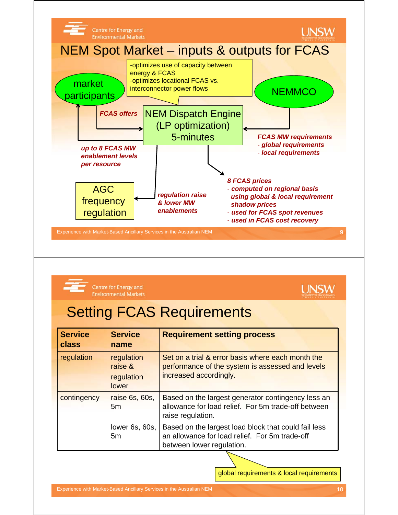



Centre for Energy and

**Environmental Markets** 

| <b>Service</b><br>class | <b>Service</b><br>name                       | <b>Requirement setting process</b>                                                                                                  |  |
|-------------------------|----------------------------------------------|-------------------------------------------------------------------------------------------------------------------------------------|--|
| regulation              | regulation<br>raise &<br>regulation<br>lower | Set on a trial & error basis where each month the<br>performance of the system is assessed and levels<br>increased accordingly.     |  |
| contingency             | raise 6s, 60s,<br>5 <sub>m</sub>             | Based on the largest generator contingency less an<br>allowance for load relief. For 5m trade-off between<br>raise regulation.      |  |
|                         | lower 6s, 60s,<br>5m                         | Based on the largest load block that could fail less<br>an allowance for load relief. For 5m trade-off<br>between lower regulation. |  |

global requirements & local requirements

**UNSW**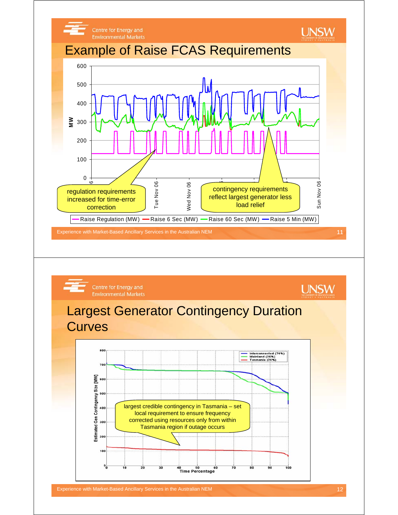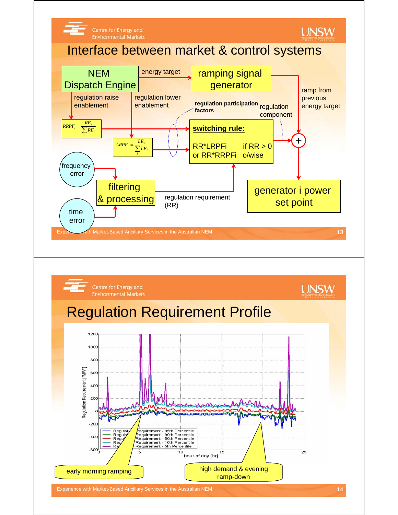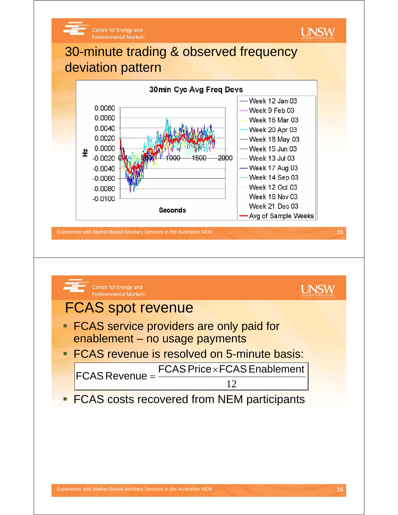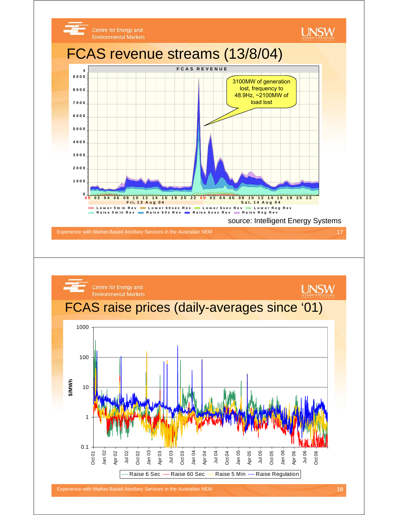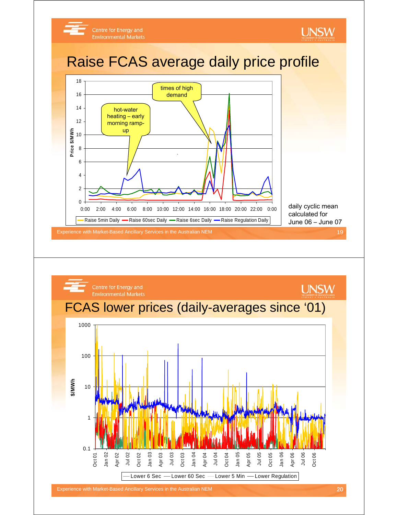

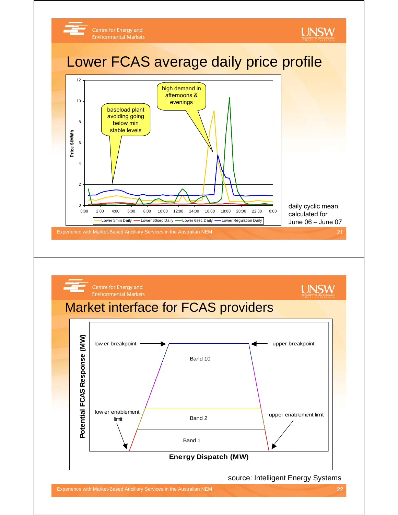



source: Intelligent Energy Systems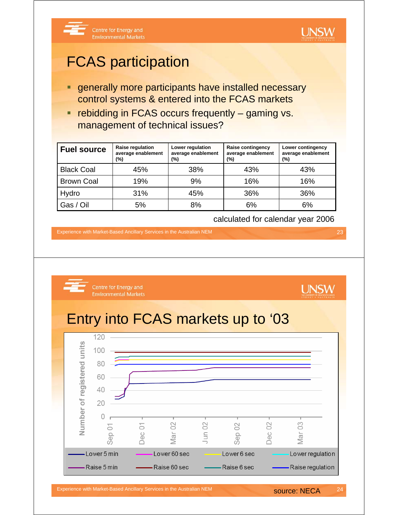

#### FCAS participation

- **e** generally more participants have installed necessary control systems & entered into the FCAS markets
- **Fig. 1** rebidding in FCAS occurs frequently gaming vs. management of technical issues?

| <b>Fuel source</b> | Raise regulation<br>average enablement<br>(%) | Lower regulation<br>average enablement<br>(%) | Raise contingency<br>average enablement<br>(%) | Lower contingency<br>average enablement<br>$(\%)$ |
|--------------------|-----------------------------------------------|-----------------------------------------------|------------------------------------------------|---------------------------------------------------|
| <b>Black Coal</b>  | 45%                                           | 38%                                           | 43%                                            | 43%                                               |
| <b>Brown Coal</b>  | 19%                                           | 9%                                            | 16%                                            | 16%                                               |
| Hydro              | 31%                                           | 45%                                           | 36%                                            | 36%                                               |
| Gas / Oil          | 5%                                            | 8%                                            | 6%                                             | 6%                                                |

calculated for calendar year 2006

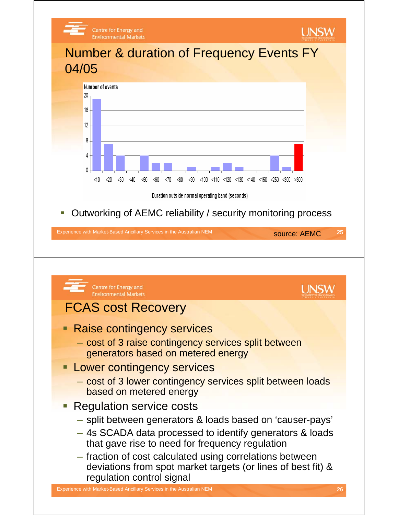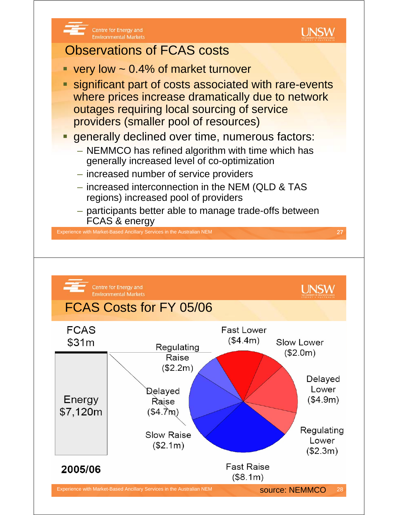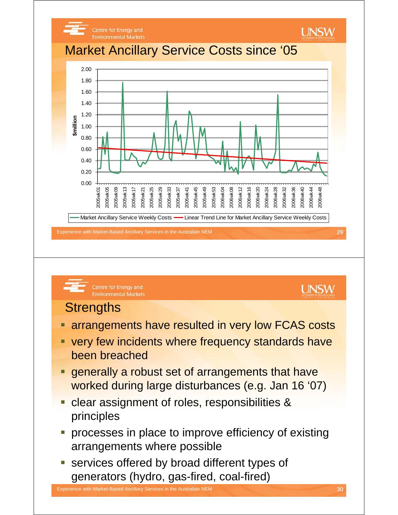



- arrangements have resulted in very low FCAS costs
- very few incidents where frequency standards have been breached
- generally a robust set of arrangements that have worked during large disturbances (e.g. Jan 16 '07)
- **Clear assignment of roles, responsibilities &** principles
- **processes in place to improve efficiency of existing** arrangements where possible
- **services offered by broad different types of** generators (hydro, gas-fired, coal-fired)